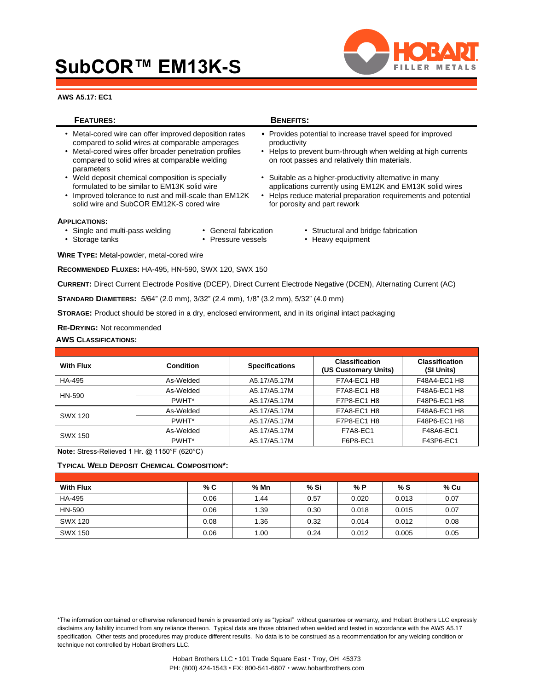# **SubCOR™ EM13K-S**





### **FEATURES: BENEFITS:** • Metal-cored wire can offer improved deposition rates • Provides potential to increase travel speed for improved compared to solid wires at comparable amperages productivity • Metal-cored wires offer broader penetration profiles • Helps to prevent burn-through when welding at high currents compared to solid wires at comparable welding on root passes and relatively thin materials. parameters • Weld deposit chemical composition is specially **•** Suitable as a higher-productivity alternative in many formulated to be similar to EM13K solid wire **•** applications currently using EM12K and EM13K solid applications currently using EM12K and EM13K solid wires

• Improved tolerance to rust and mill-scale than EM12K • Helps reduce material preparation requirements and potential solid wire and SubCOR EM12K-S cored wire for porosity and part rework

#### **APPLICATIONS:**

- 
- Single and multi-pass welding General fabrication Structural and bridge fabrication
- Storage tanks Pressure vessels Heavy equipment

**WIRE TYPE:** Metal-powder, metal-cored wire

**RECOMMENDED FLUXES:** HA-495, HN-590, SWX 120, SWX 150

**CURRENT:** Direct Current Electrode Positive (DCEP), Direct Current Electrode Negative (DCEN), Alternating Current (AC)

**STANDARD DIAMETERS:** 5/64" (2.0 mm), 3/32" (2.4 mm), 1/8" (3.2 mm), 5/32" (4.0 mm)

**STORAGE:** Product should be stored in a dry, enclosed environment, and in its original intact packaging

**RE-DRYING:** Not recommended

#### **AWS CLASSIFICATIONS:**

| <b>With Flux</b> | Condition | <b>Specifications</b> | <b>Classification</b><br>(US Customary Units) | <b>Classification</b><br>(SI Units) |
|------------------|-----------|-----------------------|-----------------------------------------------|-------------------------------------|
| HA-495           | As-Welded | A5.17/A5.17M          | F7A4-EC1 H8                                   | F48A4-EC1 H8                        |
|                  | As-Welded | A5.17/A5.17M          | F7A8-EC1 H8                                   | F48A6-EC1 H8                        |
| HN-590           | PWHT*     | A5.17/A5.17M          | F7P8-EC1 H8                                   | F48P6-EC1 H8                        |
| SWX 120          | As-Welded | A5.17/A5.17M          | F7A8-EC1 H8                                   | F48A6-EC1 H8                        |
|                  | PWHT*     | A5.17/A5.17M          | F7P8-EC1 H8                                   | F48P6-EC1 H8                        |
| <b>SWX 150</b>   | As-Welded | A5.17/A5.17M          | <b>F7A8-EC1</b>                               | F48A6-EC1                           |
|                  | PWHT*     | A5.17/A5.17M          | F6P8-EC1                                      | F43P6-EC1                           |

**Note:** Stress-Relieved 1 Hr. @ 1150°F (620°C)

**TYPICAL WELD DEPOSIT CHEMICAL COMPOSITION\*:**

| <b>With Flux</b> | % C  | % Mn | % Si | % P   | % S   | % Cu |
|------------------|------|------|------|-------|-------|------|
| HA-495           | 0.06 | 1.44 | 0.57 | 0.020 | 0.013 | 0.07 |
| HN-590           | 0.06 | 1.39 | 0.30 | 0.018 | 0.015 | 0.07 |
| SWX 120          | 0.08 | 1.36 | 0.32 | 0.014 | 0.012 | 0.08 |
| <b>SWX 150</b>   | 0.06 | 1.00 | 0.24 | 0.012 | 0.005 | 0.05 |

\*The information contained or otherwise referenced herein is presented only as "typical" without guarantee or warranty, and Hobart Brothers LLC expressly disclaims any liability incurred from any reliance thereon. Typical data are those obtained when welded and tested in accordance with the AWS A5.17 specification. Other tests and procedures may produce different results. No data is to be construed as a recommendation for any welding condition or technique not controlled by Hobart Brothers LLC.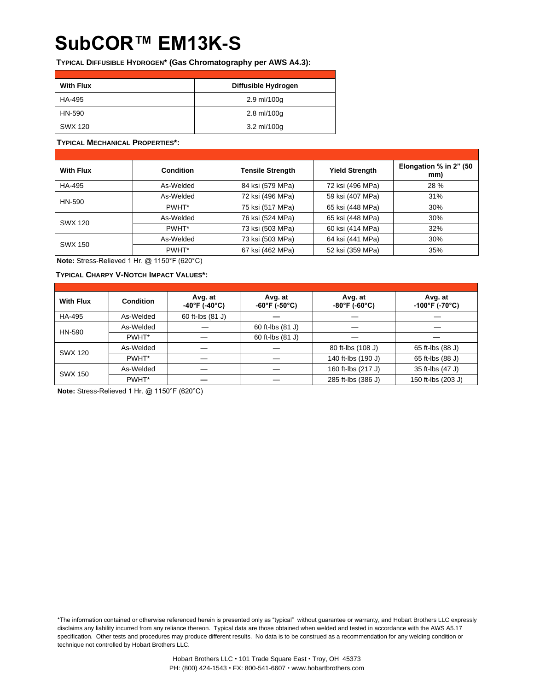## **SubCOR™ EM13K-S**

**TYPICAL DIFFUSIBLE HYDROGEN\* (Gas Chromatography per AWS A4.3):**

| <b>With Flux</b> | Diffusible Hydrogen |
|------------------|---------------------|
| HA-495           | 2.9 ml/100g         |
| HN-590           | 2.8 ml/100g         |
| SWX 120          | 3.2 ml/100g         |

#### **TYPICAL MECHANICAL PROPERTIES\*:**

| <b>With Flux</b> | <b>Condition</b> | <b>Tensile Strength</b> | <b>Yield Strength</b> | Elongation % in 2" (50<br>mm) |
|------------------|------------------|-------------------------|-----------------------|-------------------------------|
| HA-495           | As-Welded        | 84 ksi (579 MPa)        | 72 ksi (496 MPa)      | 28 %                          |
| HN-590           | As-Welded        | 72 ksi (496 MPa)        | 59 ksi (407 MPa)      | 31%                           |
|                  | PWHT*            | 75 ksi (517 MPa)        | 65 ksi (448 MPa)      | 30%                           |
| SWX 120          | As-Welded        | 76 ksi (524 MPa)        | 65 ksi (448 MPa)      | 30%                           |
|                  | PWHT*            | 73 ksi (503 MPa)        | 60 ksi (414 MPa)      | 32%                           |
| <b>SWX 150</b>   | As-Welded        | 73 ksi (503 MPa)        | 64 ksi (441 MPa)      | 30%                           |
|                  | PWHT*            | 67 ksi (462 MPa)        | 52 ksi (359 MPa)      | 35%                           |

**Note:** Stress-Relieved 1 Hr. @ 1150°F (620°C)

### **TYPICAL CHARPY V-NOTCH IMPACT VALUES\*:**

| <b>With Flux</b> | Condition | Avg. at<br>$-40^{\circ}$ F (-40°C) | Avg. at<br>$-60^{\circ}$ F (-50 $^{\circ}$ C) | Avg. at<br>$-80^{\circ}$ F (-60 $^{\circ}$ C) | Avg. at<br>$-100^{\circ}$ F (-70°C) |
|------------------|-----------|------------------------------------|-----------------------------------------------|-----------------------------------------------|-------------------------------------|
| HA-495           | As-Welded | 60 ft-lbs (81 J)                   |                                               |                                               |                                     |
| HN-590           | As-Welded |                                    | 60 ft-lbs (81 J)                              |                                               |                                     |
|                  | PWHT*     |                                    | 60 ft-lbs (81 J)                              |                                               |                                     |
| <b>SWX 120</b>   | As-Welded |                                    |                                               | 80 ft-lbs (108 J)                             | 65 ft-lbs (88 J)                    |
|                  | PWHT*     |                                    |                                               | 140 ft-lbs (190 J)                            | 65 ft-lbs (88 J)                    |
| <b>SWX 150</b>   | As-Welded |                                    |                                               | 160 ft-lbs (217 J)                            | 35 ft-lbs (47 J)                    |
|                  | PWHT*     |                                    |                                               | 285 ft-lbs (386 J)                            | 150 ft-lbs (203 J)                  |

**Note:** Stress-Relieved 1 Hr. @ 1150°F (620°C)

\*The information contained or otherwise referenced herein is presented only as "typical" without guarantee or warranty, and Hobart Brothers LLC expressly disclaims any liability incurred from any reliance thereon. Typical data are those obtained when welded and tested in accordance with the AWS A5.17 specification. Other tests and procedures may produce different results. No data is to be construed as a recommendation for any welding condition or technique not controlled by Hobart Brothers LLC.